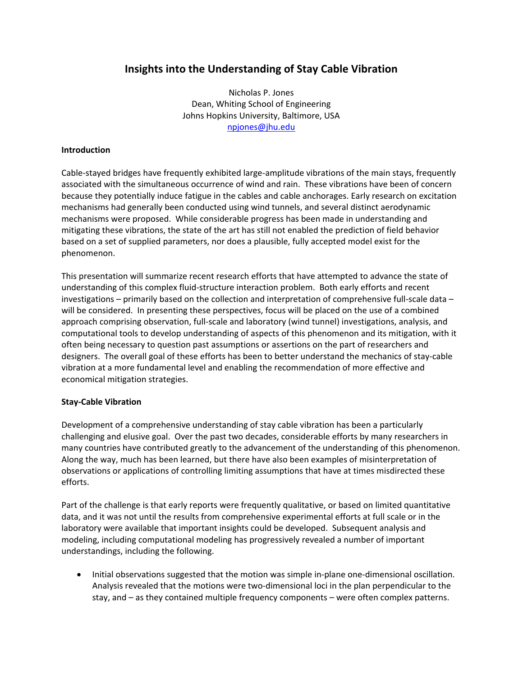# **Insights into the Understanding of Stay Cable Vibration**

Nicholas P. Jones Dean, Whiting School of Engineering Johns Hopkins University, Baltimore, USA npjones@jhu.edu

### **Introduction**

Cable‐stayed bridges have frequently exhibited large‐amplitude vibrations of the main stays, frequently associated with the simultaneous occurrence of wind and rain. These vibrations have been of concern because they potentially induce fatigue in the cables and cable anchorages. Early research on excitation mechanisms had generally been conducted using wind tunnels, and several distinct aerodynamic mechanisms were proposed. While considerable progress has been made in understanding and mitigating these vibrations, the state of the art has still not enabled the prediction of field behavior based on a set of supplied parameters, nor does a plausible, fully accepted model exist for the phenomenon.

This presentation will summarize recent research efforts that have attempted to advance the state of understanding of this complex fluid-structure interaction problem. Both early efforts and recent investigations – primarily based on the collection and interpretation of comprehensive full‐scale data – will be considered. In presenting these perspectives, focus will be placed on the use of a combined approach comprising observation, full‐scale and laboratory (wind tunnel) investigations, analysis, and computational tools to develop understanding of aspects of this phenomenon and its mitigation, with it often being necessary to question past assumptions or assertions on the part of researchers and designers. The overall goal of these efforts has been to better understand the mechanics of stay‐cable vibration at a more fundamental level and enabling the recommendation of more effective and economical mitigation strategies.

### **Stay‐Cable Vibration**

Development of a comprehensive understanding of stay cable vibration has been a particularly challenging and elusive goal. Over the past two decades, considerable efforts by many researchers in many countries have contributed greatly to the advancement of the understanding of this phenomenon. Along the way, much has been learned, but there have also been examples of misinterpretation of observations or applications of controlling limiting assumptions that have at times misdirected these efforts.

Part of the challenge is that early reports were frequently qualitative, or based on limited quantitative data, and it was not until the results from comprehensive experimental efforts at full scale or in the laboratory were available that important insights could be developed. Subsequent analysis and modeling, including computational modeling has progressively revealed a number of important understandings, including the following.

• Initial observations suggested that the motion was simple in‐plane one‐dimensional oscillation. Analysis revealed that the motions were two-dimensional loci in the plan perpendicular to the stay, and – as they contained multiple frequency components – were often complex patterns.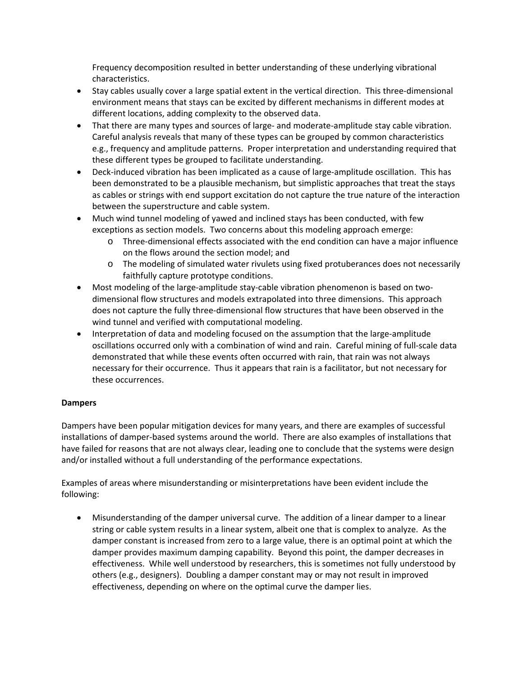Frequency decomposition resulted in better understanding of these underlying vibrational characteristics.

- Stay cables usually cover a large spatial extent in the vertical direction. This three‐dimensional environment means that stays can be excited by different mechanisms in different modes at different locations, adding complexity to the observed data.
- That there are many types and sources of large- and moderate-amplitude stay cable vibration. Careful analysis reveals that many of these types can be grouped by common characteristics e.g., frequency and amplitude patterns. Proper interpretation and understanding required that these different types be grouped to facilitate understanding.
- Deck‐induced vibration has been implicated as a cause of large‐amplitude oscillation. This has been demonstrated to be a plausible mechanism, but simplistic approaches that treat the stays as cables or strings with end support excitation do not capture the true nature of the interaction between the superstructure and cable system.
- Much wind tunnel modeling of yawed and inclined stays has been conducted, with few exceptions as section models. Two concerns about this modeling approach emerge:
	- o Three‐dimensional effects associated with the end condition can have a major influence on the flows around the section model; and
	- o The modeling of simulated water rivulets using fixed protuberances does not necessarily faithfully capture prototype conditions.
- Most modeling of the large-amplitude stay-cable vibration phenomenon is based on twodimensional flow structures and models extrapolated into three dimensions. This approach does not capture the fully three‐dimensional flow structures that have been observed in the wind tunnel and verified with computational modeling.
- Interpretation of data and modeling focused on the assumption that the large-amplitude oscillations occurred only with a combination of wind and rain. Careful mining of full‐scale data demonstrated that while these events often occurred with rain, that rain was not always necessary for their occurrence. Thus it appears that rain is a facilitator, but not necessary for these occurrences.

## **Dampers**

Dampers have been popular mitigation devices for many years, and there are examples of successful installations of damper-based systems around the world. There are also examples of installations that have failed for reasons that are not always clear, leading one to conclude that the systems were design and/or installed without a full understanding of the performance expectations.

Examples of areas where misunderstanding or misinterpretations have been evident include the following:

• Misunderstanding of the damper universal curve. The addition of a linear damper to a linear string or cable system results in a linear system, albeit one that is complex to analyze. As the damper constant is increased from zero to a large value, there is an optimal point at which the damper provides maximum damping capability. Beyond this point, the damper decreases in effectiveness. While well understood by researchers, this is sometimes not fully understood by others (e.g., designers). Doubling a damper constant may or may not result in improved effectiveness, depending on where on the optimal curve the damper lies.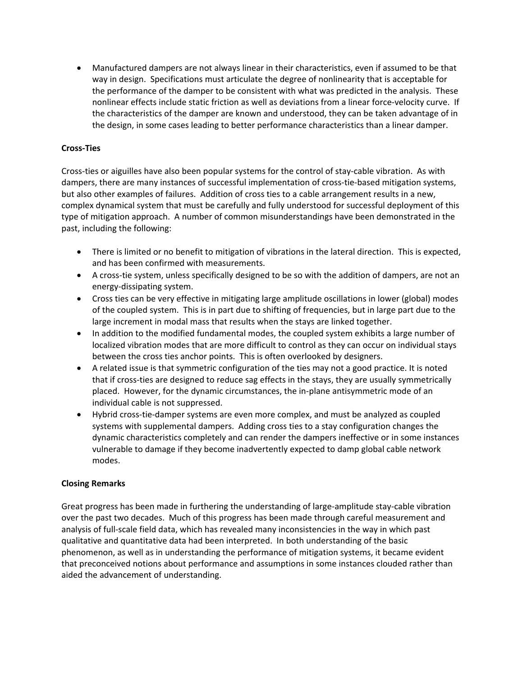• Manufactured dampers are not always linear in their characteristics, even if assumed to be that way in design. Specifications must articulate the degree of nonlinearity that is acceptable for the performance of the damper to be consistent with what was predicted in the analysis. These nonlinear effects include static friction as well as deviations from a linear force-velocity curve. If the characteristics of the damper are known and understood, they can be taken advantage of in the design, in some cases leading to better performance characteristics than a linear damper.

### **Cross‐Ties**

Cross‐ties or aiguilles have also been popular systems for the control of stay‐cable vibration. As with dampers, there are many instances of successful implementation of cross-tie-based mitigation systems, but also other examples of failures. Addition of cross ties to a cable arrangement results in a new, complex dynamical system that must be carefully and fully understood for successful deployment of this type of mitigation approach. A number of common misunderstandings have been demonstrated in the past, including the following:

- There is limited or no benefit to mitigation of vibrations in the lateral direction. This is expected, and has been confirmed with measurements.
- A cross‐tie system, unless specifically designed to be so with the addition of dampers, are not an energy‐dissipating system.
- Cross ties can be very effective in mitigating large amplitude oscillations in lower (global) modes of the coupled system. This is in part due to shifting of frequencies, but in large part due to the large increment in modal mass that results when the stays are linked together.
- In addition to the modified fundamental modes, the coupled system exhibits a large number of localized vibration modes that are more difficult to control as they can occur on individual stays between the cross ties anchor points. This is often overlooked by designers.
- A related issue is that symmetric configuration of the ties may not a good practice. It is noted that if cross-ties are designed to reduce sag effects in the stays, they are usually symmetrically placed. However, for the dynamic circumstances, the in‐plane antisymmetric mode of an individual cable is not suppressed.
- Hybrid cross‐tie‐damper systems are even more complex, and must be analyzed as coupled systems with supplemental dampers. Adding cross ties to a stay configuration changes the dynamic characteristics completely and can render the dampers ineffective or in some instances vulnerable to damage if they become inadvertently expected to damp global cable network modes.

### **Closing Remarks**

Great progress has been made in furthering the understanding of large‐amplitude stay‐cable vibration over the past two decades. Much of this progress has been made through careful measurement and analysis of full‐scale field data, which has revealed many inconsistencies in the way in which past qualitative and quantitative data had been interpreted. In both understanding of the basic phenomenon, as well as in understanding the performance of mitigation systems, it became evident that preconceived notions about performance and assumptions in some instances clouded rather than aided the advancement of understanding.